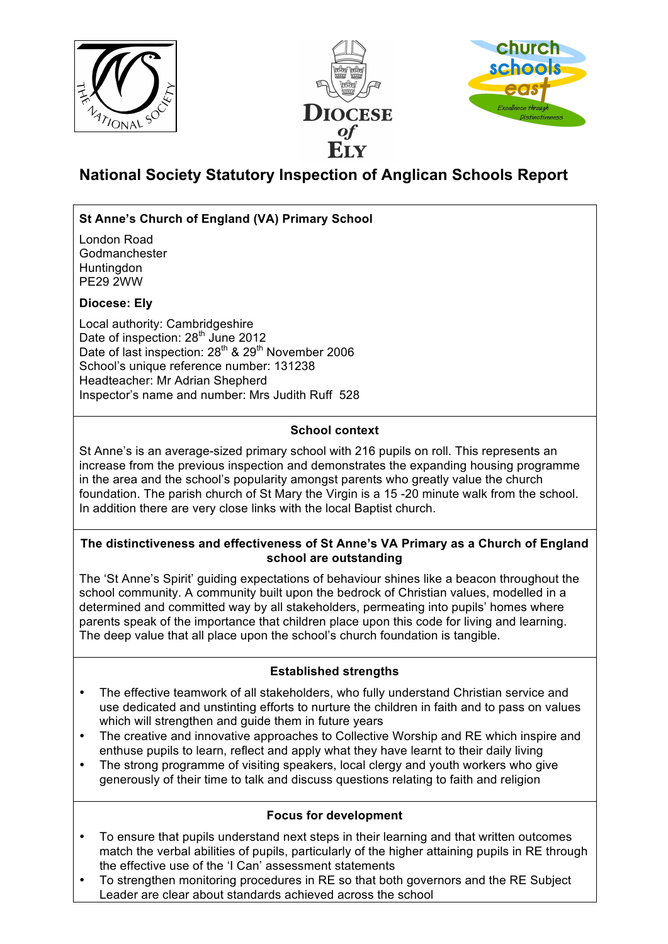





# **National Society Statutory Inspection of Anglican Schools Report**

# **St Anne's Church of England (VA) Primary School**

London Road Godmanchester **Huntingdon** PE29 2WW

# **Diocese: Ely**

Local authority: Cambridgeshire Date of inspection: 28<sup>th</sup> June 2012 Date of last inspection: 28<sup>th</sup> & 29<sup>th</sup> November 2006 School's unique reference number: 131238 Headteacher: Mr Adrian Shepherd Inspector's name and number: Mrs Judith Ruff 528

# **School context**

St Anne's is an average-sized primary school with 216 pupils on roll. This represents an increase from the previous inspection and demonstrates the expanding housing programme in the area and the school's popularity amongst parents who greatly value the church foundation. The parish church of St Mary the Virgin is a 15 -20 minute walk from the school. In addition there are very close links with the local Baptist church.

## **The distinctiveness and effectiveness of St Anne's VA Primary as a Church of England school are outstanding**

The 'St Anne's Spirit' guiding expectations of behaviour shines like a beacon throughout the school community. A community built upon the bedrock of Christian values, modelled in a determined and committed way by all stakeholders, permeating into pupils' homes where parents speak of the importance that children place upon this code for living and learning. The deep value that all place upon the school's church foundation is tangible.

# **Established strengths**

- The effective teamwork of all stakeholders, who fully understand Christian service and use dedicated and unstinting efforts to nurture the children in faith and to pass on values which will strengthen and quide them in future years
- The creative and innovative approaches to Collective Worship and RE which inspire and enthuse pupils to learn, reflect and apply what they have learnt to their daily living
- The strong programme of visiting speakers, local clergy and youth workers who give generously of their time to talk and discuss questions relating to faith and religion

## **Focus for development**

- To ensure that pupils understand next steps in their learning and that written outcomes match the verbal abilities of pupils, particularly of the higher attaining pupils in RE through the effective use of the 'I Can' assessment statements
- To strengthen monitoring procedures in RE so that both governors and the RE Subject Leader are clear about standards achieved across the school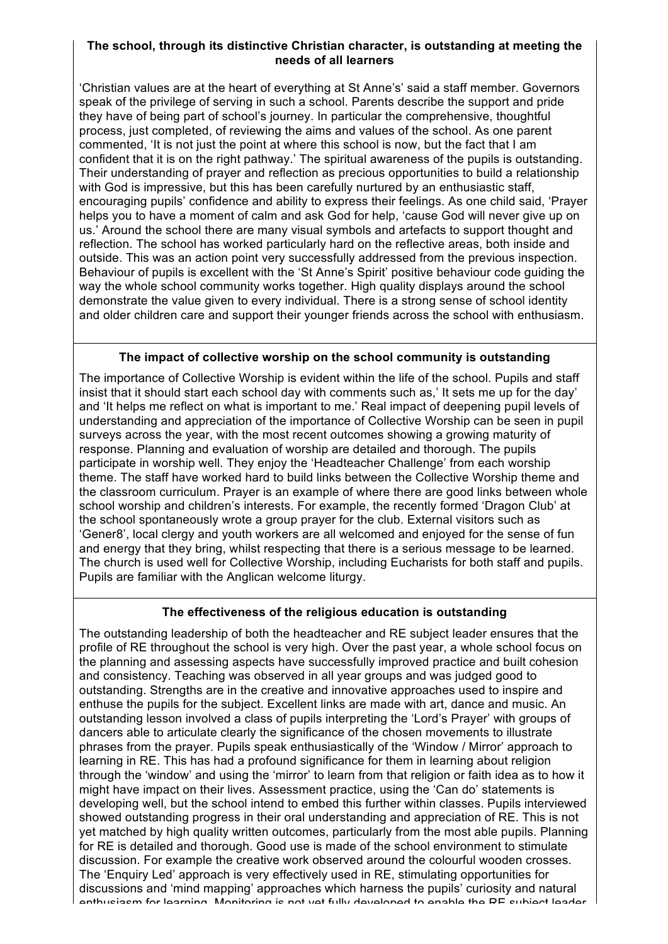#### **The school, through its distinctive Christian character, is outstanding at meeting the needs of all learners**

'Christian values are at the heart of everything at St Anne's' said a staff member. Governors speak of the privilege of serving in such a school. Parents describe the support and pride they have of being part of school's journey. In particular the comprehensive, thoughtful process, just completed, of reviewing the aims and values of the school. As one parent commented, 'It is not just the point at where this school is now, but the fact that I am confident that it is on the right pathway.' The spiritual awareness of the pupils is outstanding. Their understanding of prayer and reflection as precious opportunities to build a relationship with God is impressive, but this has been carefully nurtured by an enthusiastic staff, encouraging pupils' confidence and ability to express their feelings. As one child said, 'Prayer helps you to have a moment of calm and ask God for help, 'cause God will never give up on us.' Around the school there are many visual symbols and artefacts to support thought and reflection. The school has worked particularly hard on the reflective areas, both inside and outside. This was an action point very successfully addressed from the previous inspection. Behaviour of pupils is excellent with the 'St Anne's Spirit' positive behaviour code guiding the way the whole school community works together. High quality displays around the school demonstrate the value given to every individual. There is a strong sense of school identity and older children care and support their younger friends across the school with enthusiasm.

## **The impact of collective worship on the school community is outstanding**

The importance of Collective Worship is evident within the life of the school. Pupils and staff insist that it should start each school day with comments such as,' It sets me up for the day' and 'It helps me reflect on what is important to me.' Real impact of deepening pupil levels of understanding and appreciation of the importance of Collective Worship can be seen in pupil surveys across the year, with the most recent outcomes showing a growing maturity of response. Planning and evaluation of worship are detailed and thorough. The pupils participate in worship well. They enjoy the 'Headteacher Challenge' from each worship theme. The staff have worked hard to build links between the Collective Worship theme and the classroom curriculum. Prayer is an example of where there are good links between whole school worship and children's interests. For example, the recently formed 'Dragon Club' at the school spontaneously wrote a group prayer for the club. External visitors such as 'Gener8', local clergy and youth workers are all welcomed and enjoyed for the sense of fun and energy that they bring, whilst respecting that there is a serious message to be learned. The church is used well for Collective Worship, including Eucharists for both staff and pupils. Pupils are familiar with the Anglican welcome liturgy.

#### **The effectiveness of the religious education is outstanding**

The outstanding leadership of both the headteacher and RE subject leader ensures that the profile of RE throughout the school is very high. Over the past year, a whole school focus on the planning and assessing aspects have successfully improved practice and built cohesion and consistency. Teaching was observed in all year groups and was judged good to outstanding. Strengths are in the creative and innovative approaches used to inspire and enthuse the pupils for the subject. Excellent links are made with art, dance and music. An outstanding lesson involved a class of pupils interpreting the 'Lord's Prayer' with groups of dancers able to articulate clearly the significance of the chosen movements to illustrate phrases from the prayer. Pupils speak enthusiastically of the 'Window / Mirror' approach to learning in RE. This has had a profound significance for them in learning about religion through the 'window' and using the 'mirror' to learn from that religion or faith idea as to how it might have impact on their lives. Assessment practice, using the 'Can do' statements is developing well, but the school intend to embed this further within classes. Pupils interviewed showed outstanding progress in their oral understanding and appreciation of RE. This is not yet matched by high quality written outcomes, particularly from the most able pupils. Planning for RE is detailed and thorough. Good use is made of the school environment to stimulate discussion. For example the creative work observed around the colourful wooden crosses. The 'Enquiry Led' approach is very effectively used in RE, stimulating opportunities for discussions and 'mind mapping' approaches which harness the pupils' curiosity and natural enthusiasm for learning. Monitoring is not yet fully developed to enable the RE subject leader